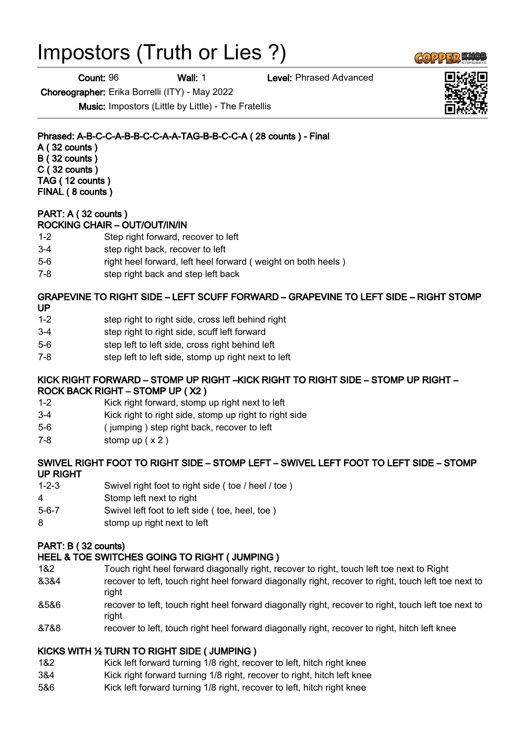# Impostors (Truth or Lies ?)

**Count: 96 Wall: 1 Level: Phrased Advanced** 

Choreographer: Erika Borrelli (ITY) - May 2022

Music: Impostors (Little by Little) - The Fratellis

Phrased: A-B-C-C-A-B-B-C-C-A-A-TAG-B-B-C-C-A ( 28 counts ) - Final A ( 32 counts ) B ( 32 counts )

C ( 32 counts ) TAG ( 12 counts ) FINAL ( 8 counts )

#### PART: A ( 32 counts ) ROCKING CHAIR – OUT/OUT/IN/IN

- 1-2 Step right forward, recover to left
- 3-4 step right back, recover to left
- 5-6 right heel forward, left heel forward ( weight on both heels )
- 7-8 step right back and step left back

# GRAPEVINE TO RIGHT SIDE – LEFT SCUFF FORWARD – GRAPEVINE TO LEFT SIDE – RIGHT STOMP

- UP
- 1-2 step right to right side, cross left behind right
- 3-4 step right to right side, scuff left forward
- 5-6 step left to left side, cross right behind left
- 7-8 step left to left side, stomp up right next to left

#### KICK RIGHT FORWARD – STOMP UP RIGHT –KICK RIGHT TO RIGHT SIDE – STOMP UP RIGHT – ROCK BACK RIGHT – STOMP UP ( X2 )

- 1-2 Kick right forward, stomp up right next to left
- 3-4 Kick right to right side, stomp up right to right side
- 5-6 ( jumping ) step right back, recover to left
- 7-8 stomp up ( x 2 )

# SWIVEL RIGHT FOOT TO RIGHT SIDE – STOMP LEFT – SWIVEL LEFT FOOT TO LEFT SIDE – STOMP UP RIGHT

- 1-2-3 Swivel right foot to right side ( toe / heel / toe )
- 4 Stomp left next to right
- 5-6-7 Swivel left foot to left side ( toe, heel, toe )
- 8 stomp up right next to left

# PART: B ( 32 counts)

# HEEL & TOE SWITCHES GOING TO RIGHT ( JUMPING )

- 1&2 Touch right heel forward diagonally right, recover to right, touch left toe next to Right
- &3&4 recover to left, touch right heel forward diagonally right, recover to right, touch left toe next to right
- &5&6 recover to left, touch right heel forward diagonally right, recover to right, touch left toe next to right
- &7&8 recover to left, touch right heel forward diagonally right, recover to right, hitch left knee

# KICKS WITH ½ TURN TO RIGHT SIDE ( JUMPING )

- 1&2 Kick left forward turning 1/8 right, recover to left, hitch right knee
- 3&4 Kick right forward turning 1/8 right, recover to right, hitch left knee
- 5&6 Kick left forward turning 1/8 right, recover to left, hitch right knee